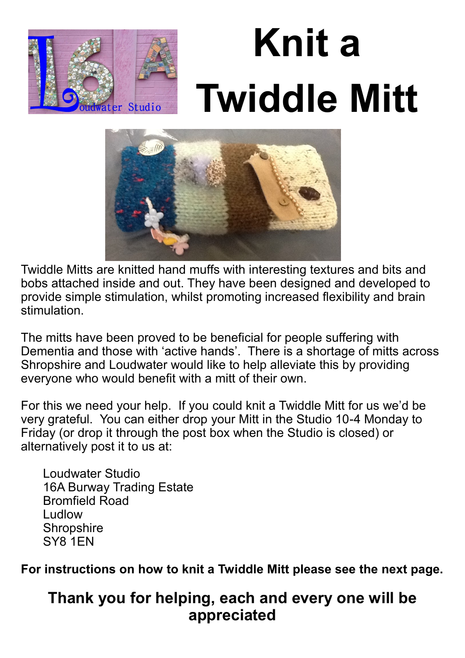

# **Knit a Twiddle Mitt**



Twiddle Mitts are knitted hand muffs with interesting textures and bits and bobs attached inside and out. They have been designed and developed to provide simple stimulation, whilst promoting increased flexibility and brain stimulation.

The mitts have been proved to be beneficial for people suffering with Dementia and those with 'active hands'. There is a shortage of mitts across Shropshire and Loudwater would like to help alleviate this by providing everyone who would benefit with a mitt of their own.

For this we need your help. If you could knit a Twiddle Mitt for us we'd be very grateful. You can either drop your Mitt in the Studio 10-4 Monday to Friday (or drop it through the post box when the Studio is closed) or alternatively post it to us at:

Loudwater Studio 16A Burway Trading Estate Bromfield Road Ludlow **Shropshire** SY8 1EN

**For instructions on how to knit a Twiddle Mitt please see the next page.**

# **Thank you for helping, each and every one will be appreciated**